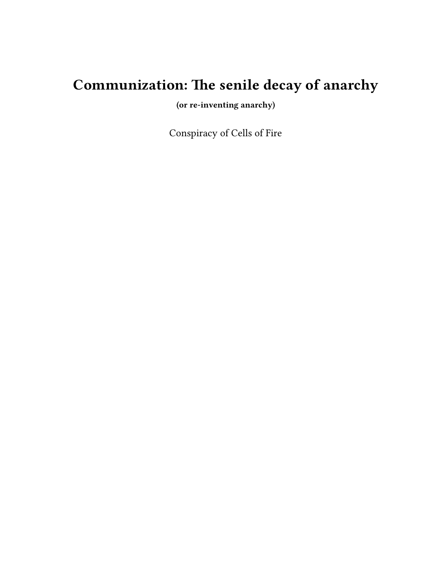# **Communization: The senile decay of anarchy**

**(or re-inventing anarchy)**

Conspiracy of Cells of Fire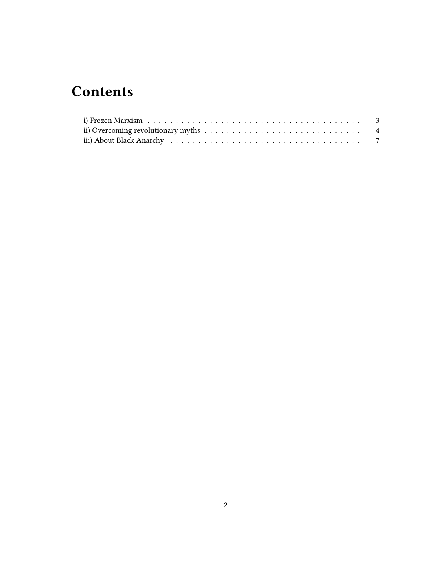## **Contents**

| ii) Overcoming revolutionary myths $\dots \dots \dots \dots \dots \dots \dots \dots \dots \dots \dots$ |  |
|--------------------------------------------------------------------------------------------------------|--|
|                                                                                                        |  |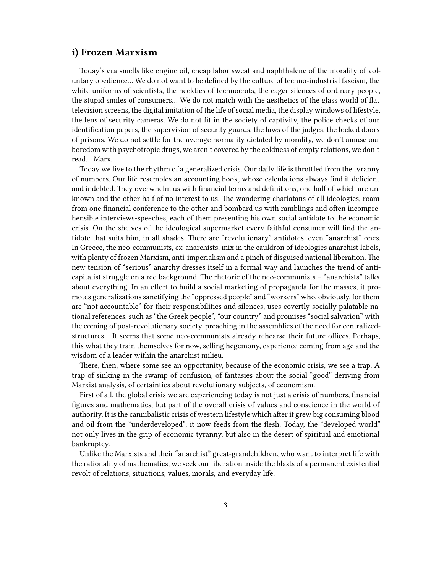#### <span id="page-2-0"></span>**i) Frozen Marxism**

Today's era smells like engine oil, cheap labor sweat and naphthalene of the morality of voluntary obedience… We do not want to be defined by the culture of techno-industrial fascism, the white uniforms of scientists, the neckties of technocrats, the eager silences of ordinary people, the stupid smiles of consumers… We do not match with the aesthetics of the glass world of flat television screens, the digital imitation of the life of social media, the display windows of lifestyle, the lens of security cameras. We do not fit in the society of captivity, the police checks of our identification papers, the supervision of security guards, the laws of the judges, the locked doors of prisons. We do not settle for the average normality dictated by morality, we don't amuse our boredom with psychotropic drugs, we aren't covered by the coldness of empty relations, we don't read… Marx.

Today we live to the rhythm of a generalized crisis. Our daily life is throttled from the tyranny of numbers. Our life resembles an accounting book, whose calculations always find it deficient and indebted. They overwhelm us with financial terms and definitions, one half of which are unknown and the other half of no interest to us. The wandering charlatans of all ideologies, roam from one financial conference to the other and bombard us with ramblings and often incomprehensible interviews-speeches, each of them presenting his own social antidote to the economic crisis. On the shelves of the ideological supermarket every faithful consumer will find the antidote that suits him, in all shades. There are "revolutionary" antidotes, even "anarchist" ones. In Greece, the neo-communists, ex-anarchists, mix in the cauldron of ideologies anarchist labels, with plenty of frozen Marxism, anti-imperialism and a pinch of disguised national liberation. The new tension of "serious" anarchy dresses itself in a formal way and launches the trend of anticapitalist struggle on a red background. The rhetoric of the neo-communists – "anarchists" talks about everything. In an effort to build a social marketing of propaganda for the masses, it promotes generalizations sanctifying the "oppressed people" and "workers" who, obviously, for them are "not accountable" for their responsibilities and silences, uses covertly socially palatable national references, such as "the Greek people", "our country" and promises "social salvation" with the coming of post-revolutionary society, preaching in the assemblies of the need for centralizedstructures… It seems that some neo-communists already rehearse their future offices. Perhaps, this what they train themselves for now, selling hegemony, experience coming from age and the wisdom of a leader within the anarchist milieu.

There, then, where some see an opportunity, because of the economic crisis, we see a trap. A trap of sinking in the swamp of confusion, of fantasies about the social "good" deriving from Marxist analysis, of certainties about revolutionary subjects, of economism.

First of all, the global crisis we are experiencing today is not just a crisis of numbers, financial figures and mathematics, but part of the overall crisis of values and conscience in the world of authority. It is the cannibalistic crisis of western lifestyle which after it grew big consuming blood and oil from the "underdeveloped", it now feeds from the flesh. Today, the "developed world" not only lives in the grip of economic tyranny, but also in the desert of spiritual and emotional bankruptcy.

Unlike the Marxists and their "anarchist" great-grandchildren, who want to interpret life with the rationality of mathematics, we seek our liberation inside the blasts of a permanent existential revolt of relations, situations, values, morals, and everyday life.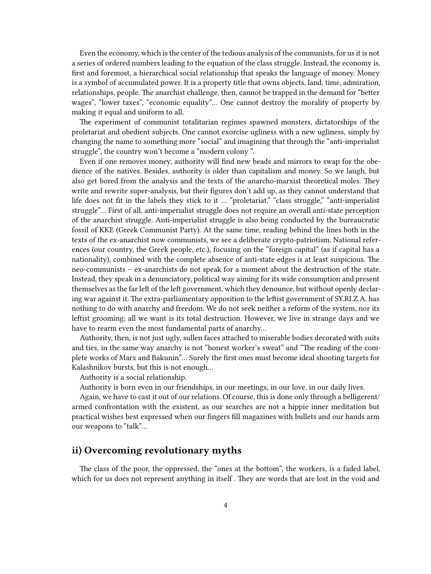Even the economy, which is the center of the tedious analysis of the communists, for us it is not a series of ordered numbers leading to the equation of the class struggle. Instead, the economy is, first and foremost, a hierarchical social relationship that speaks the language of money. Money is a symbol of accumulated power. It is a property title that owns objects, land, time, admiration, relationships, people. The anarchist challenge, then, cannot be trapped in the demand for "better wages", "lower taxes", "economic equality"… One cannot destroy the morality of property by making it equal and uniform to all.

The experiment of communist totalitarian regimes spawned monsters, dictatorships of the proletariat and obedient subjects. One cannot exorcise ugliness with a new ugliness, simply by changing the name to something more "social" and imagining that through the "anti-imperialist struggle", the country won't become a "modern colony ".

Even if one removes money, authority will find new beads and mirrors to swap for the obedience of the natives. Besides, authority is older than capitalism and money. So we laugh, but also get bored from the analysis and the texts of the anarcho-marxist theoretical moles. They write and rewrite super-analysis, but their figures don't add up, as they cannot understand that life does not fit in the labels they stick to it ... "proletariat," "class struggle," "anti-imperialist struggle"… First of all, anti-imperialist struggle does not require an overall anti-state perception of the anarchist struggle. Anti-imperialist struggle is also being conducted by the bureaucratic fossil of KKE (Greek Communist Party). At the same time, reading behind the lines both in the texts of the ex-anarchist now communists, we see a deliberate crypto-patriotism. National references (our country, the Greek people, etc.), focusing on the "foreign capital" (as if capital has a nationality), combined with the complete absence of anti-state edges is at least suspicious. The neo-communists – ex-anarchists do not speak for a moment about the destruction of the state. Instead, they speak in a denunciatory, political way aiming for its wide consumption and present themselves as the far left of the left government, which they denounce, but without openly declaring war against it. The extra-parliamentary opposition to the leftist government of SY.RI.Z.A. has nothing to do with anarchy and freedom. We do not seek neither a reform of the system, nor its leftist grooming; all we want is its total destruction. However, we live in strange days and we have to rearm even the most fundamental parts of anarchy…

Authority, then, is not just ugly, sullen faces attached to miserable bodies decorated with suits and ties, in the same way anarchy is not "honest worker's sweat" and "The reading of the complete works of Marx and Bakunin"… Surely the first ones must become ideal shooting targets for Kalashnikov bursts, but this is not enough…

Authority is a social relationship.

Authority is born even in our friendships, in our meetings, in our love, in our daily lives.

Again, we have to cast it out of our relations. Of course, this is done only through a belligerent/ armed confrontation with the existent, as our searches are not a hippie inner meditation but practical wishes best expressed when our fingers fill magazines with bullets and our hands arm our weapons to "talk"…

### <span id="page-3-0"></span>**ii) Overcoming revolutionary myths**

The class of the poor, the oppressed, the "ones at the bottom", the workers, is a faded label, which for us does not represent anything in itself . They are words that are lost in the void and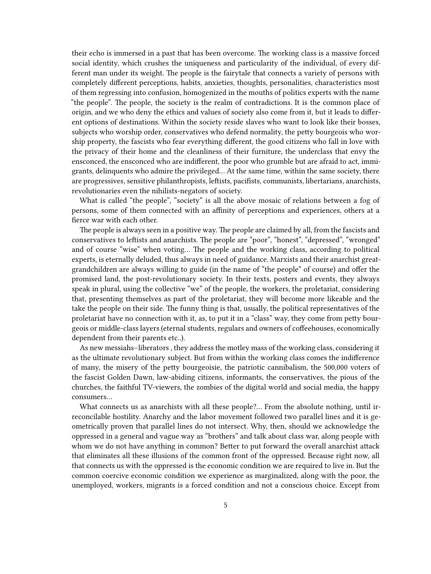their echo is immersed in a past that has been overcome. The working class is a massive forced social identity, which crushes the uniqueness and particularity of the individual, of every different man under its weight. The people is the fairytale that connects a variety of persons with completely different perceptions, habits, anxieties, thoughts, personalities, characteristics most of them regressing into confusion, homogenized in the mouths of politics experts with the name "the people". The people, the society is the realm of contradictions. It is the common place of origin, and we who deny the ethics and values of society also come from it, but it leads to different options of destinations. Within the society reside slaves who want to look like their bosses, subjects who worship order, conservatives who defend normality, the petty bourgeois who worship property, the fascists who fear everything different, the good citizens who fall in love with the privacy of their home and the cleanliness of their furniture, the underclass that envy the ensconced, the ensconced who are indifferent, the poor who grumble but are afraid to act, immigrants, delinquents who admire the privileged… At the same time, within the same society, there are progressives, sensitive philanthropists, leftists, pacifists, communists, libertarians, anarchists, revolutionaries even the nihilists-negators of society.

What is called "the people", "society" is all the above mosaic of relations between a fog of persons, some of them connected with an affinity of perceptions and experiences, others at a fierce war with each other.

The people is always seen in a positive way. The people are claimed by all, from the fascists and conservatives to leftists and anarchists. The people are "poor", "honest", "depressed", "wronged" and of course "wise" when voting… The people and the working class, according to political experts, is eternally deluded, thus always in need of guidance. Marxists and their anarchist greatgrandchildren are always willing to guide (in the name of "the people" of course) and offer the promised land, the post-revolutionary society. In their texts, posters and events, they always speak in plural, using the collective "we" of the people, the workers, the proletariat, considering that, presenting themselves as part of the proletariat, they will become more likeable and the take the people on their side. The funny thing is that, usually, the political representatives of the proletariat have no connection with it, as, to put it in a "class" way, they come from petty bourgeois or middle-class layers (eternal students, regulars and owners of coffeehouses, economically dependent from their parents etc..).

As new messiahs–liberators , they address the motley mass of the working class, considering it as the ultimate revolutionary subject. But from within the working class comes the indifference of many, the misery of the petty bourgeoisie, the patriotic cannibalism, the 500,000 voters of the fascist Golden Dawn, law-abiding citizens, informants, the conservatives, the pious of the churches, the faithful TV-viewers, the zombies of the digital world and social media, the happy consumers…

What connects us as anarchists with all these people?... From the absolute nothing, until irreconcilable hostility. Anarchy and the labor movement followed two parallel lines and it is geometrically proven that parallel lines do not intersect. Why, then, should we acknowledge the oppressed in a general and vague way as "brothers" and talk about class war, along people with whom we do not have anything in common? Better to put forward the overall anarchist attack that eliminates all these illusions of the common front of the oppressed. Because right now, all that connects us with the oppressed is the economic condition we are required to live in. But the common coercive economic condition we experience as marginalized, along with the poor, the unemployed, workers, migrants is a forced condition and not a conscious choice. Except from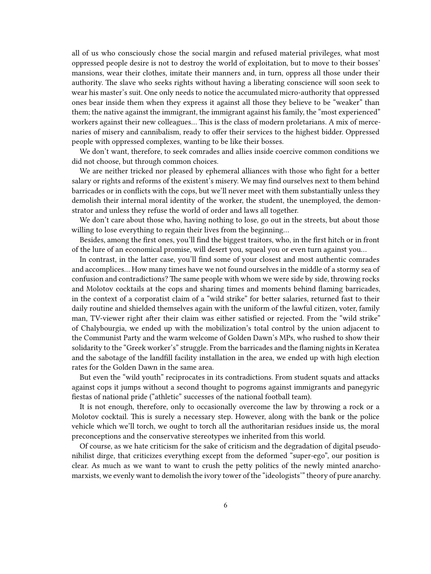all of us who consciously chose the social margin and refused material privileges, what most oppressed people desire is not to destroy the world of exploitation, but to move to their bosses' mansions, wear their clothes, imitate their manners and, in turn, oppress all those under their authority. The slave who seeks rights without having a liberating conscience will soon seek to wear his master's suit. One only needs to notice the accumulated micro-authority that oppressed ones bear inside them when they express it against all those they believe to be "weaker" than them; the native against the immigrant, the immigrant against his family, the "most experienced" workers against their new colleagues… This is the class of modern proletarians. A mix of mercenaries of misery and cannibalism, ready to offer their services to the highest bidder. Oppressed people with oppressed complexes, wanting to be like their bosses.

We don't want, therefore, to seek comrades and allies inside coercive common conditions we did not choose, but through common choices.

We are neither tricked nor pleased by ephemeral alliances with those who fight for a better salary or rights and reforms of the existent's misery. We may find ourselves next to them behind barricades or in conflicts with the cops, but we'll never meet with them substantially unless they demolish their internal moral identity of the worker, the student, the unemployed, the demonstrator and unless they refuse the world of order and laws all together.

We don't care about those who, having nothing to lose, go out in the streets, but about those willing to lose everything to regain their lives from the beginning…

Besides, among the first ones, you'll find the biggest traitors, who, in the first hitch or in front of the lure of an economical promise, will desert you, squeal you or even turn against you…

In contrast, in the latter case, you'll find some of your closest and most authentic comrades and accomplices… How many times have we not found ourselves in the middle of a stormy sea of confusion and contradictions? The same people with whom we were side by side, throwing rocks and Molotov cocktails at the cops and sharing times and moments behind flaming barricades, in the context of a corporatist claim of a "wild strike" for better salaries, returned fast to their daily routine and shielded themselves again with the uniform of the lawful citizen, voter, family man, TV-viewer right after their claim was either satisfied or rejected. From the "wild strike" of Chalybourgia, we ended up with the mobilization's total control by the union adjacent to the Communist Party and the warm welcome of Golden Dawn's MPs, who rushed to show their solidarity to the "Greek worker's" struggle. From the barricades and the flaming nights in Keratea and the sabotage of the landfill facility installation in the area, we ended up with high election rates for the Golden Dawn in the same area.

But even the "wild youth" reciprocates in its contradictions. From student squats and attacks against cops it jumps without a second thought to pogroms against immigrants and panegyric fiestas of national pride ("athletic" successes of the national football team).

It is not enough, therefore, only to occasionally overcome the law by throwing a rock or a Molotov cocktail. This is surely a necessary step. However, along with the bank or the police vehicle which we'll torch, we ought to torch all the authoritarian residues inside us, the moral preconceptions and the conservative stereotypes we inherited from this world.

Of course, as we hate criticism for the sake of criticism and the degradation of digital pseudonihilist dirge, that criticizes everything except from the deformed "super-ego", our position is clear. As much as we want to want to crush the petty politics of the newly minted anarchomarxists, we evenly want to demolish the ivory tower of the "ideologists'" theory of pure anarchy.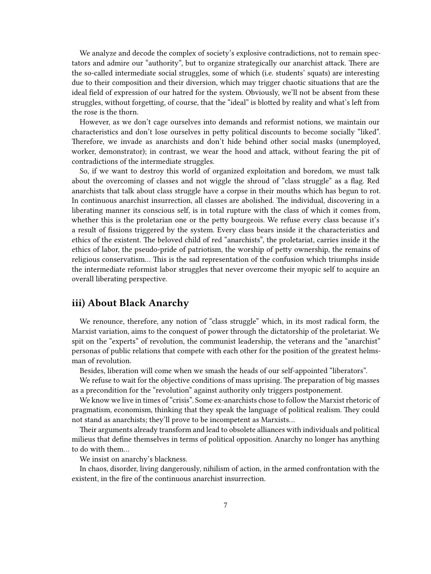We analyze and decode the complex of society's explosive contradictions, not to remain spectators and admire our "authority", but to organize strategically our anarchist attack. There are the so-called intermediate social struggles, some of which (i.e. students' squats) are interesting due to their composition and their diversion, which may trigger chaotic situations that are the ideal field of expression of our hatred for the system. Obviously, we'll not be absent from these struggles, without forgetting, of course, that the "ideal" is blotted by reality and what's left from the rose is the thorn.

However, as we don't cage ourselves into demands and reformist notions, we maintain our characteristics and don't lose ourselves in petty political discounts to become socially "liked". Therefore, we invade as anarchists and don't hide behind other social masks (unemployed, worker, demonstrator); in contrast, we wear the hood and attack, without fearing the pit of contradictions of the intermediate struggles.

So, if we want to destroy this world of organized exploitation and boredom, we must talk about the overcoming of classes and not wiggle the shroud of "class struggle" as a flag. Red anarchists that talk about class struggle have a corpse in their mouths which has begun to rot. In continuous anarchist insurrection, all classes are abolished. The individual, discovering in a liberating manner its conscious self, is in total rupture with the class of which it comes from, whether this is the proletarian one or the petty bourgeois. We refuse every class because it's a result of fissions triggered by the system. Every class bears inside it the characteristics and ethics of the existent. The beloved child of red "anarchists", the proletariat, carries inside it the ethics of labor, the pseudo-pride of patriotism, the worship of petty ownership, the remains of religious conservatism… This is the sad representation of the confusion which triumphs inside the intermediate reformist labor struggles that never overcome their myopic self to acquire an overall liberating perspective.

#### <span id="page-6-0"></span>**iii) About Black Anarchy**

We renounce, therefore, any notion of "class struggle" which, in its most radical form, the Marxist variation, aims to the conquest of power through the dictatorship of the proletariat. We spit on the "experts" of revolution, the communist leadership, the veterans and the "anarchist" personas of public relations that compete with each other for the position of the greatest helmsman of revolution.

Besides, liberation will come when we smash the heads of our self-appointed "liberators".

We refuse to wait for the objective conditions of mass uprising. The preparation of big masses as a precondition for the "revolution" against authority only triggers postponement.

We know we live in times of "crisis". Some ex-anarchists chose to follow the Marxist rhetoric of pragmatism, economism, thinking that they speak the language of political realism. They could not stand as anarchists; they'll prove to be incompetent as Marxists…

Their arguments already transform and lead to obsolete alliances with individuals and political milieus that define themselves in terms of political opposition. Anarchy no longer has anything to do with them…

We insist on anarchy's blackness.

In chaos, disorder, living dangerously, nihilism of action, in the armed confrontation with the existent, in the fire of the continuous anarchist insurrection.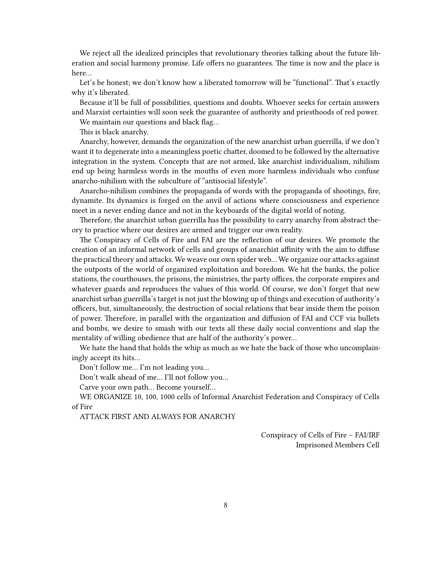We reject all the idealized principles that revolutionary theories talking about the future liberation and social harmony promise. Life offers no guarantees. The time is now and the place is here…

Let's be honest; we don't know how a liberated tomorrow will be "functional". That's exactly why it's liberated.

Because it'll be full of possibilities, questions and doubts. Whoever seeks for certain answers and Marxist certainties will soon seek the guarantee of authority and priesthoods of red power.

We maintain our questions and black flag…

This is black anarchy.

Anarchy, however, demands the organization of the new anarchist urban guerrilla, if we don't want it to degenerate into a meaningless poetic chatter, doomed to be followed by the alternative integration in the system. Concepts that are not armed, like anarchist individualism, nihilism end up being harmless words in the mouths of even more harmless individuals who confuse anarcho-nihilism with the subculture of "antisocial lifestyle".

Anarcho-nihilism combines the propaganda of words with the propaganda of shootings, fire, dynamite. Its dynamics is forged on the anvil of actions where consciousness and experience meet in a never ending dance and not in the keyboards of the digital world of noting.

Therefore, the anarchist urban guerrilla has the possibility to carry anarchy from abstract theory to practice where our desires are armed and trigger our own reality.

The Conspiracy of Cells of Fire and FAI are the reflection of our desires. We promote the creation of an informal network of cells and groups of anarchist affinity with the aim to diffuse the practical theory and attacks. We weave our own spider web… We organize our attacks against the outposts of the world of organized exploitation and boredom. We hit the banks, the police stations, the courthouses, the prisons, the ministries, the party offices, the corporate empires and whatever guards and reproduces the values of this world. Of course, we don't forget that new anarchist urban guerrilla's target is not just the blowing up of things and execution of authority's officers, but, simultaneously, the destruction of social relations that bear inside them the poison of power. Therefore, in parallel with the organization and diffusion of FAI and CCF via bullets and bombs, we desire to smash with our texts all these daily social conventions and slap the mentality of willing obedience that are half of the authority's power…

We hate the hand that holds the whip as much as we hate the back of those who uncomplainingly accept its hits…

Don't follow me… I'm not leading you…

Don't walk ahead of me… I'll not follow you…

Carve your own path… Become yourself…

WE ORGANIZE 10, 100, 1000 cells of Informal Anarchist Federation and Conspiracy of Cells of Fire

ATTACK FIRST AND ALWAYS FOR ANARCHY

Conspiracy of Cells of Fire – FAI/IRF Imprisoned Members Cell